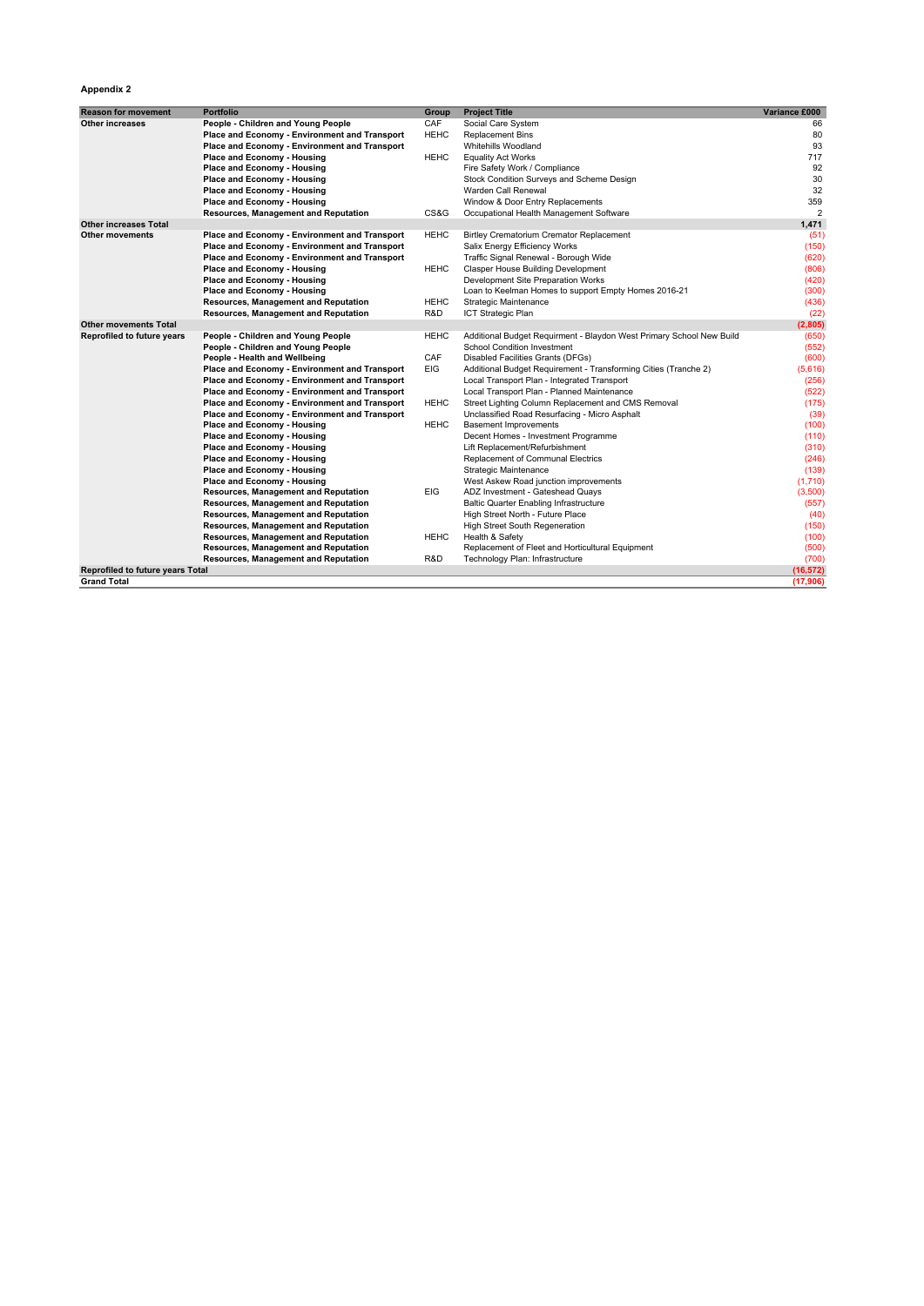## **Appendix 2**

| <b>Reason for movement</b>       | <b>Portfolio</b>                              | Group       | <b>Project Title</b>                                                 | Variance £000  |
|----------------------------------|-----------------------------------------------|-------------|----------------------------------------------------------------------|----------------|
| Other increases                  | People - Children and Young People            | CAF         | Social Care System                                                   | 66             |
|                                  | Place and Economy - Environment and Transport | <b>HEHC</b> | <b>Replacement Bins</b>                                              | 80             |
|                                  | Place and Economy - Environment and Transport |             | <b>Whitehills Woodland</b>                                           | 93             |
|                                  | Place and Economy - Housing                   | <b>HEHC</b> | <b>Equality Act Works</b>                                            | 717            |
|                                  | Place and Economy - Housing                   |             | Fire Safety Work / Compliance                                        | 92             |
|                                  | Place and Economy - Housing                   |             | Stock Condition Surveys and Scheme Design                            | 30             |
|                                  | Place and Economy - Housing                   |             | Warden Call Renewal                                                  | 32             |
|                                  | Place and Economy - Housing                   |             | Window & Door Entry Replacements                                     | 359            |
|                                  | <b>Resources, Management and Reputation</b>   | CS&G        | Occupational Health Management Software                              | $\overline{2}$ |
| <b>Other increases Total</b>     |                                               |             |                                                                      | 1,471          |
| <b>Other movements</b>           | Place and Economy - Environment and Transport | <b>HEHC</b> | <b>Birtley Crematorium Cremator Replacement</b>                      | (51)           |
|                                  | Place and Economy - Environment and Transport |             | Salix Energy Efficiency Works                                        | (150)          |
|                                  | Place and Economy - Environment and Transport |             | Traffic Signal Renewal - Borough Wide                                | (620)          |
|                                  | Place and Economy - Housing                   | <b>HEHC</b> | Clasper House Building Development                                   | (806)          |
|                                  | Place and Economy - Housing                   |             | Development Site Preparation Works                                   | (420)          |
|                                  | Place and Economy - Housing                   |             | Loan to Keelman Homes to support Empty Homes 2016-21                 | (300)          |
|                                  | Resources, Management and Reputation          | <b>HEHC</b> | Strategic Maintenance                                                | (436)          |
|                                  | Resources, Management and Reputation          | R&D         | ICT Strategic Plan                                                   | (22)           |
| <b>Other movements Total</b>     |                                               |             |                                                                      | (2,805)        |
| Reprofiled to future years       | People - Children and Young People            | <b>HEHC</b> | Additional Budget Requirment - Blaydon West Primary School New Build | (650)          |
|                                  | People - Children and Young People            |             | <b>School Condition Investment</b>                                   | (552)          |
|                                  | People - Health and Wellbeing                 | CAF         | Disabled Facilities Grants (DFGs)                                    | (600)          |
|                                  | Place and Economy - Environment and Transport | <b>EIG</b>  | Additional Budget Requirement - Transforming Cities (Tranche 2)      | (5,616)        |
|                                  | Place and Economy - Environment and Transport |             | Local Transport Plan - Integrated Transport                          | (256)          |
|                                  | Place and Economy - Environment and Transport |             | Local Transport Plan - Planned Maintenance                           | (522)          |
|                                  | Place and Economy - Environment and Transport | <b>HEHC</b> | Street Lighting Column Replacement and CMS Removal                   | (175)          |
|                                  | Place and Economy - Environment and Transport |             | Unclassified Road Resurfacing - Micro Asphalt                        | (39)           |
|                                  | Place and Economy - Housing                   | <b>HEHC</b> | <b>Basement Improvements</b>                                         | (100)          |
|                                  | Place and Economy - Housing                   |             | Decent Homes - Investment Programme                                  | (110)          |
|                                  | Place and Economy - Housing                   |             | Lift Replacement/Refurbishment                                       | (310)          |
|                                  | Place and Economy - Housing                   |             | Replacement of Communal Electrics                                    | (246)          |
|                                  | Place and Economy - Housing                   |             | Strategic Maintenance                                                | (139)          |
|                                  | Place and Economy - Housing                   |             | West Askew Road junction improvements                                | (1,710)        |
|                                  | <b>Resources, Management and Reputation</b>   | EIG         | ADZ Investment - Gateshead Quays                                     | (3,500)        |
|                                  | Resources, Management and Reputation          |             | <b>Baltic Quarter Enabling Infrastructure</b>                        | (557)          |
|                                  | Resources, Management and Reputation          |             | High Street North - Future Place                                     | (40)           |
|                                  | Resources, Management and Reputation          |             | High Street South Regeneration                                       | (150)          |
|                                  | Resources, Management and Reputation          | <b>HEHC</b> | Health & Safety                                                      | (100)          |
|                                  | Resources, Management and Reputation          |             | Replacement of Fleet and Horticultural Equipment                     | (500)          |
|                                  | Resources, Management and Reputation          | R&D         | Technology Plan: Infrastructure                                      | (700)          |
| Reprofiled to future years Total |                                               |             |                                                                      | (16, 572)      |
| <b>Grand Total</b>               |                                               |             |                                                                      | (17,906)       |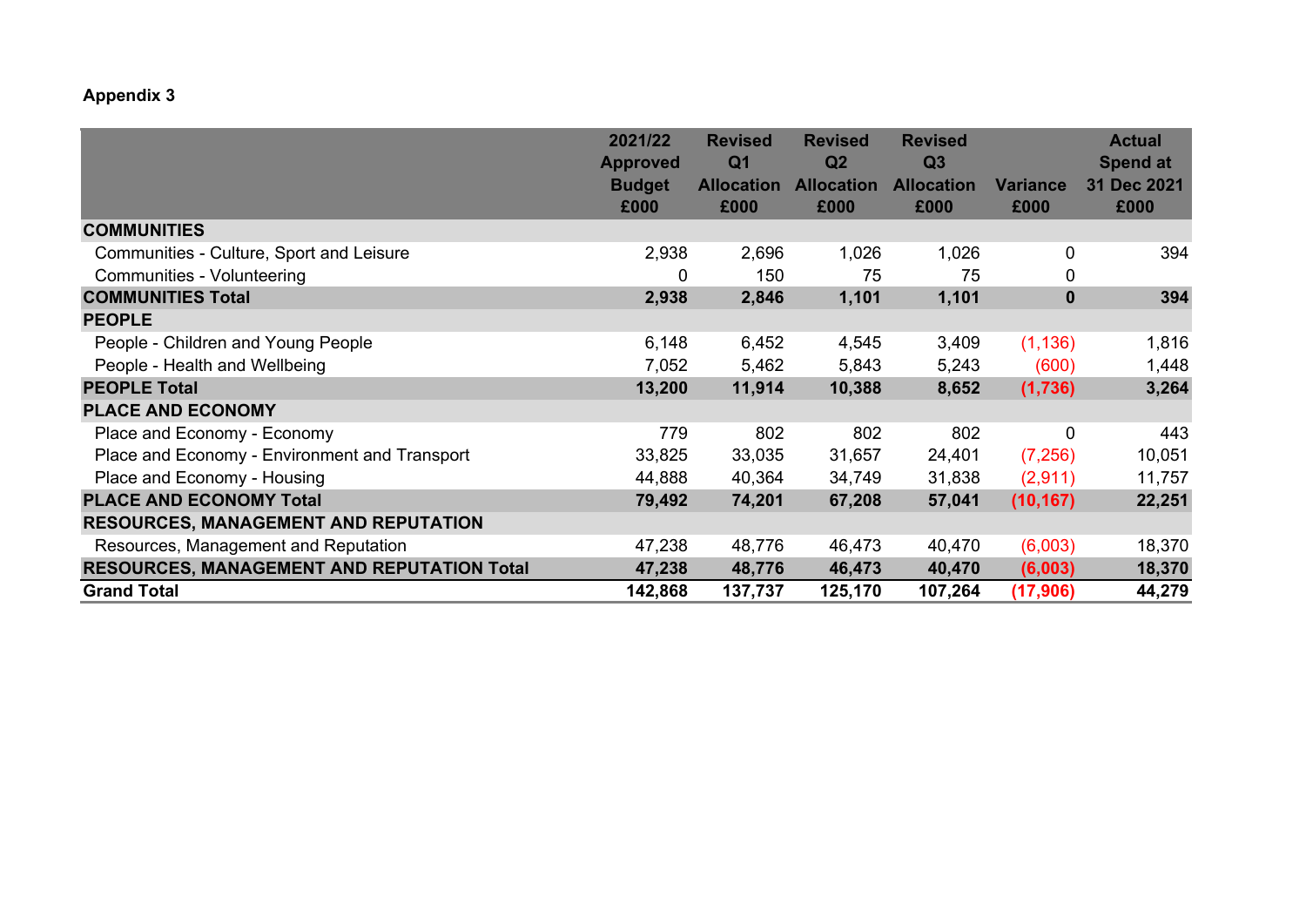## **Appendix 3**

|                                                   | 2021/22<br><b>Approved</b> | <b>Revised</b><br>Q <sub>1</sub> | <b>Revised</b><br>Q <sub>2</sub> | <b>Revised</b><br>Q <sub>3</sub> |                 | <b>Actual</b><br><b>Spend at</b> |
|---------------------------------------------------|----------------------------|----------------------------------|----------------------------------|----------------------------------|-----------------|----------------------------------|
|                                                   | <b>Budget</b>              | <b>Allocation</b>                | <b>Allocation</b>                | <b>Allocation</b>                | <b>Variance</b> | 31 Dec 2021                      |
|                                                   | £000                       | £000                             | £000                             | £000                             | £000            | £000                             |
| <b>COMMUNITIES</b>                                |                            |                                  |                                  |                                  |                 |                                  |
| Communities - Culture, Sport and Leisure          | 2,938                      | 2,696                            | 1,026                            | 1,026                            | 0               | 394                              |
| <b>Communities - Volunteering</b>                 | 0                          | 150                              | 75                               | 75                               | 0               |                                  |
| <b>COMMUNITIES Total</b>                          | 2,938                      | 2,846                            | 1,101                            | 1,101                            | $\mathbf 0$     | 394                              |
| <b>PEOPLE</b>                                     |                            |                                  |                                  |                                  |                 |                                  |
| People - Children and Young People                | 6,148                      | 6,452                            | 4,545                            | 3,409                            | (1, 136)        | 1,816                            |
| People - Health and Wellbeing                     | 7,052                      | 5,462                            | 5,843                            | 5,243                            | (600)           | 1,448                            |
| <b>PEOPLE Total</b>                               | 13,200                     | 11,914                           | 10,388                           | 8,652                            | (1,736)         | 3,264                            |
| <b>PLACE AND ECONOMY</b>                          |                            |                                  |                                  |                                  |                 |                                  |
| Place and Economy - Economy                       | 779                        | 802                              | 802                              | 802                              | 0               | 443                              |
| Place and Economy - Environment and Transport     | 33,825                     | 33,035                           | 31,657                           | 24,401                           | (7, 256)        | 10,051                           |
| Place and Economy - Housing                       | 44,888                     | 40,364                           | 34,749                           | 31,838                           | (2,911)         | 11,757                           |
| <b>PLACE AND ECONOMY Total</b>                    | 79,492                     | 74,201                           | 67,208                           | 57,041                           | (10, 167)       | 22,251                           |
| <b>RESOURCES, MANAGEMENT AND REPUTATION</b>       |                            |                                  |                                  |                                  |                 |                                  |
| Resources, Management and Reputation              | 47,238                     | 48,776                           | 46,473                           | 40,470                           | (6,003)         | 18,370                           |
| <b>RESOURCES, MANAGEMENT AND REPUTATION Total</b> | 47,238                     | 48,776                           | 46,473                           | 40,470                           | (6,003)         | 18,370                           |
| <b>Grand Total</b>                                | 142,868                    | 137,737                          | 125,170                          | 107,264                          | (17, 906)       | 44,279                           |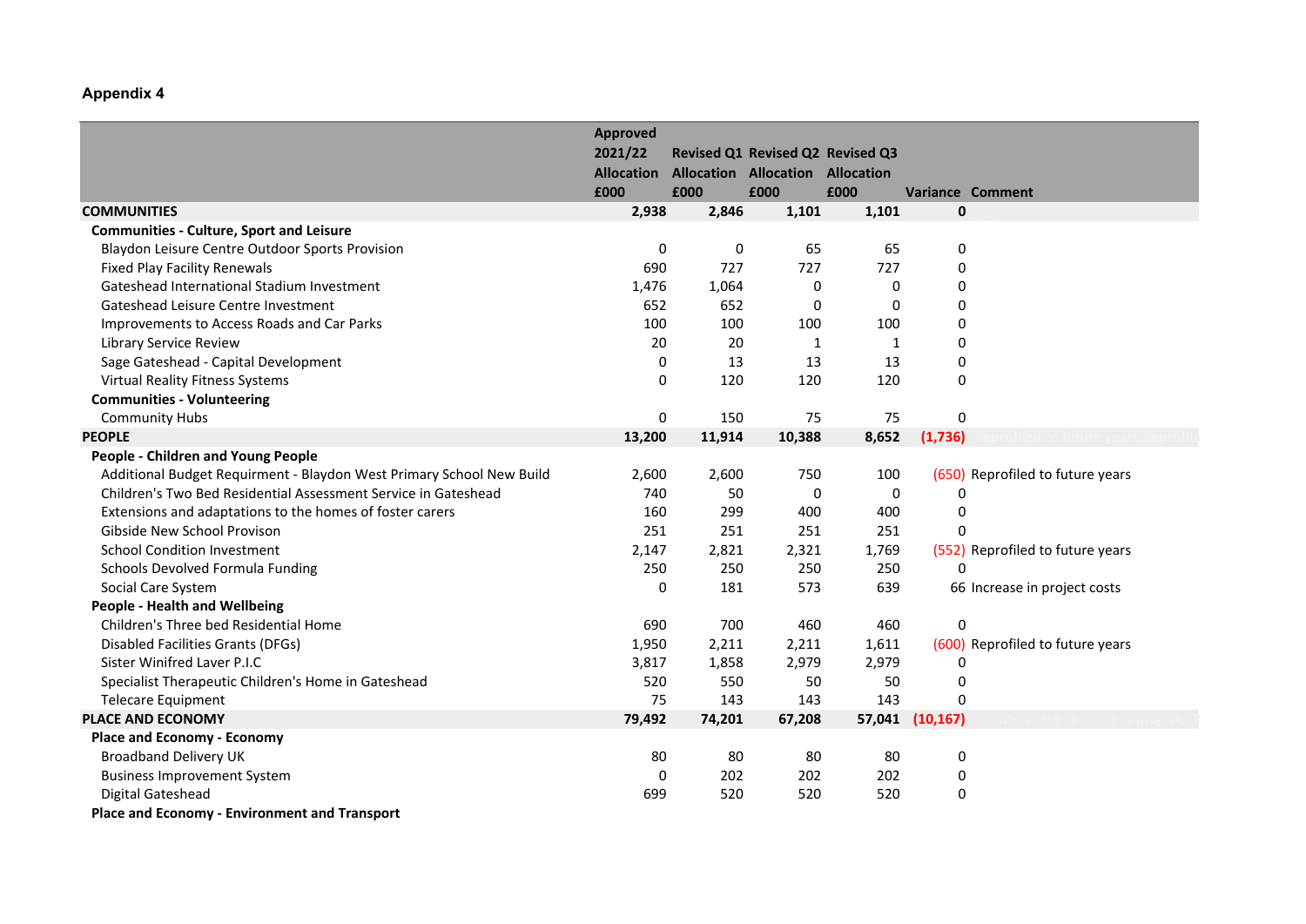## **Appendix 4**

|                                                                      | <b>Approved</b>   |        |                                         |                                  |             |                                  |
|----------------------------------------------------------------------|-------------------|--------|-----------------------------------------|----------------------------------|-------------|----------------------------------|
|                                                                      | 2021/22           |        |                                         | Revised Q1 Revised Q2 Revised Q3 |             |                                  |
|                                                                      | <b>Allocation</b> |        | <b>Allocation Allocation Allocation</b> |                                  |             |                                  |
|                                                                      | £000              | £000   | £000                                    | £000                             |             | <b>Variance Comment</b>          |
| <b>COMMUNITIES</b>                                                   | 2,938             | 2,846  | 1,101                                   | 1,101                            | 0           |                                  |
| <b>Communities - Culture, Sport and Leisure</b>                      |                   |        |                                         |                                  |             |                                  |
| Blaydon Leisure Centre Outdoor Sports Provision                      | 0                 | 0      | 65                                      | 65                               | 0           |                                  |
| <b>Fixed Play Facility Renewals</b>                                  | 690               | 727    | 727                                     | 727                              | 0           |                                  |
| Gateshead International Stadium Investment                           | 1,476             | 1,064  | $\mathbf 0$                             | 0                                | $\mathbf 0$ |                                  |
| Gateshead Leisure Centre Investment                                  | 652               | 652    | 0                                       | 0                                | 0           |                                  |
| Improvements to Access Roads and Car Parks                           | 100               | 100    | 100                                     | 100                              | 0           |                                  |
| Library Service Review                                               | 20                | 20     | 1                                       | 1                                | 0           |                                  |
| Sage Gateshead - Capital Development                                 | 0                 | 13     | 13                                      | 13                               | $\mathbf 0$ |                                  |
| <b>Virtual Reality Fitness Systems</b>                               | 0                 | 120    | 120                                     | 120                              | 0           |                                  |
| <b>Communities - Volunteering</b>                                    |                   |        |                                         |                                  |             |                                  |
| <b>Community Hubs</b>                                                | 0                 | 150    | 75                                      | 75                               | 0           |                                  |
| <b>PEOPLE</b>                                                        | 13,200            | 11,914 | 10,388                                  | 8,652                            | (1,736)     |                                  |
| <b>People - Children and Young People</b>                            |                   |        |                                         |                                  |             |                                  |
| Additional Budget Requirment - Blaydon West Primary School New Build | 2,600             | 2,600  | 750                                     | 100                              |             | (650) Reprofiled to future years |
| Children's Two Bed Residential Assessment Service in Gateshead       | 740               | 50     | $\pmb{0}$                               | 0                                | 0           |                                  |
| Extensions and adaptations to the homes of foster carers             | 160               | 299    | 400                                     | 400                              | 0           |                                  |
| Gibside New School Provison                                          | 251               | 251    | 251                                     | 251                              | 0           |                                  |
| <b>School Condition Investment</b>                                   | 2,147             | 2,821  | 2,321                                   | 1,769                            |             | (552) Reprofiled to future years |
| Schools Devolved Formula Funding                                     | 250               | 250    | 250                                     | 250                              | $\Omega$    |                                  |
| Social Care System                                                   | 0                 | 181    | 573                                     | 639                              |             | 66 Increase in project costs     |
| <b>People - Health and Wellbeing</b>                                 |                   |        |                                         |                                  |             |                                  |
| Children's Three bed Residential Home                                | 690               | 700    | 460                                     | 460                              | 0           |                                  |
| <b>Disabled Facilities Grants (DFGs)</b>                             | 1,950             | 2,211  | 2,211                                   | 1,611                            |             | (600) Reprofiled to future years |
| Sister Winifred Laver P.I.C                                          | 3,817             | 1,858  | 2,979                                   | 2,979                            | $\mathbf 0$ |                                  |
| Specialist Therapeutic Children's Home in Gateshead                  | 520               | 550    | 50                                      | 50                               | 0           |                                  |
| <b>Telecare Equipment</b>                                            | 75                | 143    | 143                                     | 143                              | 0           |                                  |
| <b>PLACE AND ECONOMY</b>                                             | 79,492            | 74,201 | 67,208                                  | 57,041                           | (10, 167)   |                                  |
| <b>Place and Economy - Economy</b>                                   |                   |        |                                         |                                  |             |                                  |
| <b>Broadband Delivery UK</b>                                         | 80                | 80     | 80                                      | 80                               | 0           |                                  |
| <b>Business Improvement System</b>                                   | $\Omega$          | 202    | 202                                     | 202                              | 0           |                                  |
| Digital Gateshead                                                    | 699               | 520    | 520                                     | 520                              | 0           |                                  |
| Place and Economy - Environment and Transport                        |                   |        |                                         |                                  |             |                                  |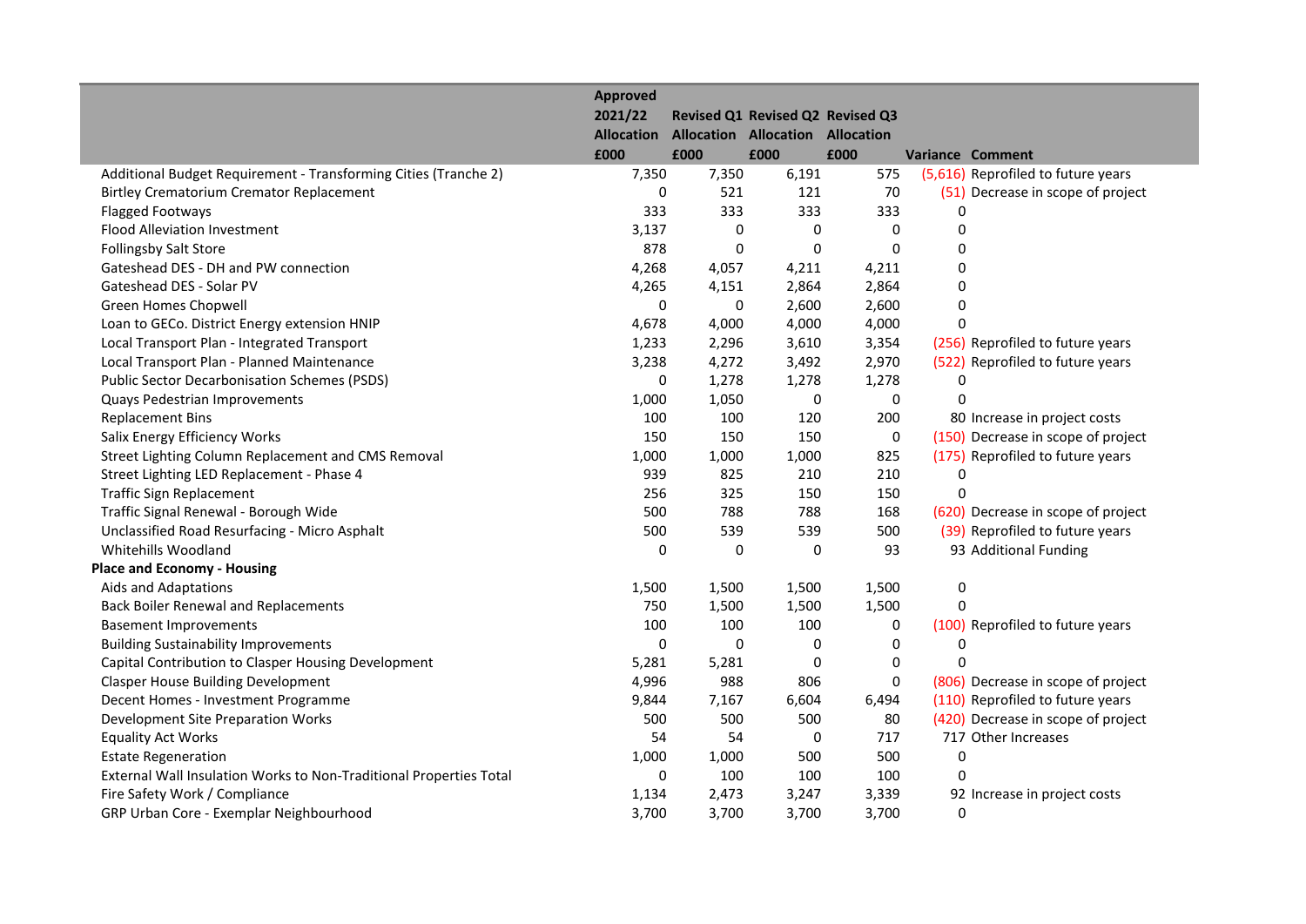|                                                                    | <b>Approved</b><br>2021/22<br><b>Allocation</b><br>£000 | £000  | <b>Allocation Allocation Allocation</b><br>£000 | Revised Q1 Revised Q2 Revised Q3<br>£000 |             | <b>Variance Comment</b>            |
|--------------------------------------------------------------------|---------------------------------------------------------|-------|-------------------------------------------------|------------------------------------------|-------------|------------------------------------|
| Additional Budget Requirement - Transforming Cities (Tranche 2)    | 7,350                                                   | 7,350 | 6,191                                           | 575                                      |             | (5,616) Reprofiled to future years |
| <b>Birtley Crematorium Cremator Replacement</b>                    | 0                                                       | 521   | 121                                             | 70                                       |             | (51) Decrease in scope of project  |
| <b>Flagged Footways</b>                                            | 333                                                     | 333   | 333                                             | 333                                      | 0           |                                    |
| <b>Flood Alleviation Investment</b>                                | 3,137                                                   | 0     | 0                                               | 0                                        | 0           |                                    |
| <b>Follingsby Salt Store</b>                                       | 878                                                     | 0     | $\mathbf 0$                                     | $\Omega$                                 | 0           |                                    |
| Gateshead DES - DH and PW connection                               | 4,268                                                   | 4,057 | 4,211                                           | 4,211                                    | 0           |                                    |
| Gateshead DES - Solar PV                                           | 4,265                                                   | 4,151 | 2,864                                           | 2,864                                    | 0           |                                    |
| Green Homes Chopwell                                               | 0                                                       | 0     | 2,600                                           | 2,600                                    | 0           |                                    |
| Loan to GECo. District Energy extension HNIP                       | 4,678                                                   | 4,000 | 4,000                                           | 4,000                                    | 0           |                                    |
| Local Transport Plan - Integrated Transport                        | 1,233                                                   | 2,296 | 3,610                                           | 3,354                                    |             | (256) Reprofiled to future years   |
| Local Transport Plan - Planned Maintenance                         | 3,238                                                   | 4,272 | 3,492                                           | 2,970                                    |             | (522) Reprofiled to future years   |
| <b>Public Sector Decarbonisation Schemes (PSDS)</b>                | 0                                                       | 1,278 | 1,278                                           | 1,278                                    | $\mathbf 0$ |                                    |
| Quays Pedestrian Improvements                                      | 1,000                                                   | 1,050 | 0                                               | 0                                        | $\Omega$    |                                    |
| <b>Replacement Bins</b>                                            | 100                                                     | 100   | 120                                             | 200                                      |             | 80 Increase in project costs       |
| Salix Energy Efficiency Works                                      | 150                                                     | 150   | 150                                             | $\pmb{0}$                                |             | (150) Decrease in scope of project |
| Street Lighting Column Replacement and CMS Removal                 | 1,000                                                   | 1,000 | 1,000                                           | 825                                      |             | (175) Reprofiled to future years   |
| Street Lighting LED Replacement - Phase 4                          | 939                                                     | 825   | 210                                             | 210                                      | 0           |                                    |
| <b>Traffic Sign Replacement</b>                                    | 256                                                     | 325   | 150                                             | 150                                      | 0           |                                    |
| Traffic Signal Renewal - Borough Wide                              | 500                                                     | 788   | 788                                             | 168                                      |             | (620) Decrease in scope of project |
| Unclassified Road Resurfacing - Micro Asphalt                      | 500                                                     | 539   | 539                                             | 500                                      |             | (39) Reprofiled to future years    |
| Whitehills Woodland                                                | 0                                                       | 0     | 0                                               | 93                                       |             | 93 Additional Funding              |
| <b>Place and Economy - Housing</b>                                 |                                                         |       |                                                 |                                          |             |                                    |
| Aids and Adaptations                                               | 1,500                                                   | 1,500 | 1,500                                           | 1,500                                    | $\pmb{0}$   |                                    |
| <b>Back Boiler Renewal and Replacements</b>                        | 750                                                     | 1,500 | 1,500                                           | 1,500                                    | 0           |                                    |
| <b>Basement Improvements</b>                                       | 100                                                     | 100   | 100                                             | 0                                        |             | (100) Reprofiled to future years   |
| <b>Building Sustainability Improvements</b>                        | 0                                                       | 0     | $\pmb{0}$                                       | 0                                        | $\mathbf 0$ |                                    |
| Capital Contribution to Clasper Housing Development                | 5,281                                                   | 5,281 | $\pmb{0}$                                       | $\mathbf 0$                              | $\Omega$    |                                    |
| <b>Clasper House Building Development</b>                          | 4,996                                                   | 988   | 806                                             | $\mathbf 0$                              |             | (806) Decrease in scope of project |
| Decent Homes - Investment Programme                                | 9,844                                                   | 7,167 | 6,604                                           | 6,494                                    |             | (110) Reprofiled to future years   |
| Development Site Preparation Works                                 | 500                                                     | 500   | 500                                             | 80                                       |             | (420) Decrease in scope of project |
| <b>Equality Act Works</b>                                          | 54                                                      | 54    | 0                                               | 717                                      |             | 717 Other Increases                |
| <b>Estate Regeneration</b>                                         | 1,000                                                   | 1,000 | 500                                             | 500                                      | 0           |                                    |
| External Wall Insulation Works to Non-Traditional Properties Total | 0                                                       | 100   | 100                                             | 100                                      | 0           |                                    |
| Fire Safety Work / Compliance                                      | 1,134                                                   | 2,473 | 3,247                                           | 3,339                                    |             | 92 Increase in project costs       |
| GRP Urban Core - Exemplar Neighbourhood                            | 3,700                                                   | 3,700 | 3,700                                           | 3,700                                    | 0           |                                    |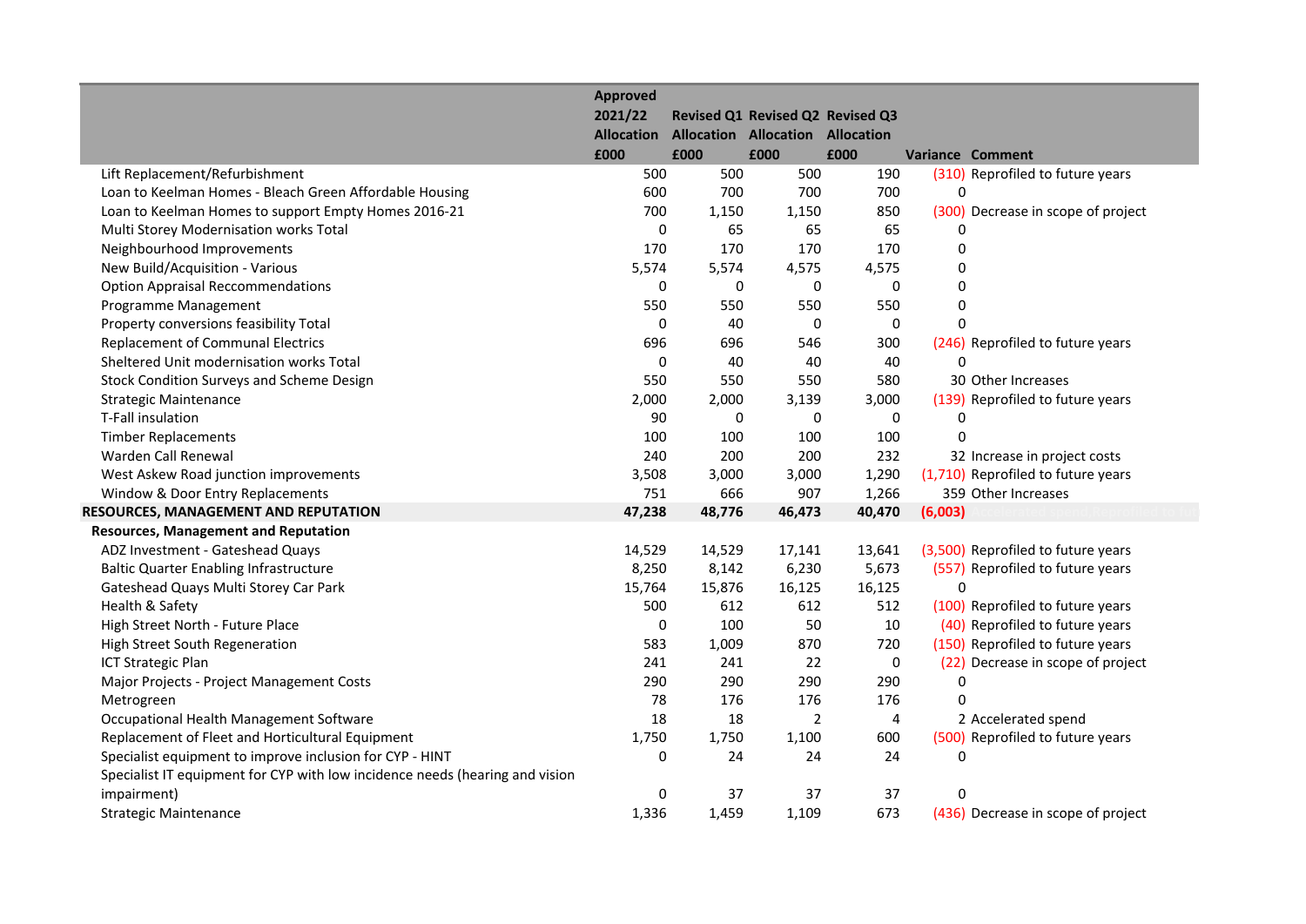|                                                                              | <b>Approved</b><br>2021/22 |        | Revised Q1 Revised Q2 Revised Q3        |                |                                    |
|------------------------------------------------------------------------------|----------------------------|--------|-----------------------------------------|----------------|------------------------------------|
|                                                                              | <b>Allocation</b>          |        | <b>Allocation Allocation Allocation</b> |                |                                    |
|                                                                              | £000                       | £000   | £000                                    | £000           | <b>Variance Comment</b>            |
| Lift Replacement/Refurbishment                                               | 500                        | 500    | 500                                     | 190            | (310) Reprofiled to future years   |
| Loan to Keelman Homes - Bleach Green Affordable Housing                      | 600                        | 700    | 700                                     | 700            | 0                                  |
| Loan to Keelman Homes to support Empty Homes 2016-21                         | 700                        | 1,150  | 1,150                                   | 850            | (300) Decrease in scope of project |
| Multi Storey Modernisation works Total                                       | 0                          | 65     | 65                                      | 65             |                                    |
| Neighbourhood Improvements                                                   | 170                        | 170    | 170                                     | 170            | 0                                  |
| New Build/Acquisition - Various                                              | 5,574                      | 5,574  | 4,575                                   | 4,575          | $\mathbf 0$                        |
| <b>Option Appraisal Reccommendations</b>                                     | 0                          | 0      | $\mathbf 0$                             | $\Omega$       | $\mathbf 0$                        |
| Programme Management                                                         | 550                        | 550    | 550                                     | 550            | 0                                  |
| Property conversions feasibility Total                                       | 0                          | 40     | 0                                       | 0              | $\mathbf{0}$                       |
| <b>Replacement of Communal Electrics</b>                                     | 696                        | 696    | 546                                     | 300            | (246) Reprofiled to future years   |
| Sheltered Unit modernisation works Total                                     | 0                          | 40     | 40                                      | 40             | $\Omega$                           |
| Stock Condition Surveys and Scheme Design                                    | 550                        | 550    | 550                                     | 580            | 30 Other Increases                 |
| <b>Strategic Maintenance</b>                                                 | 2,000                      | 2,000  | 3,139                                   | 3,000          | (139) Reprofiled to future years   |
| T-Fall insulation                                                            | 90                         | 0      | 0                                       | 0              | 0                                  |
| <b>Timber Replacements</b>                                                   | 100                        | 100    | 100                                     | 100            | $\Omega$                           |
| Warden Call Renewal                                                          | 240                        | 200    | 200                                     | 232            | 32 Increase in project costs       |
| West Askew Road junction improvements                                        | 3,508                      | 3,000  | 3,000                                   | 1,290          | (1,710) Reprofiled to future years |
| Window & Door Entry Replacements                                             | 751                        | 666    | 907                                     | 1,266          | 359 Other Increases                |
| RESOURCES, MANAGEMENT AND REPUTATION                                         | 47,238                     | 48,776 | 46,473                                  | 40,470         | (6,003)                            |
| <b>Resources, Management and Reputation</b>                                  |                            |        |                                         |                |                                    |
| ADZ Investment - Gateshead Quays                                             | 14,529                     | 14,529 | 17,141                                  | 13,641         | (3,500) Reprofiled to future years |
| <b>Baltic Quarter Enabling Infrastructure</b>                                | 8,250                      | 8,142  | 6,230                                   | 5,673          | (557) Reprofiled to future years   |
| Gateshead Quays Multi Storey Car Park                                        | 15,764                     | 15,876 | 16,125                                  | 16,125         | $\Omega$                           |
| Health & Safety                                                              | 500                        | 612    | 612                                     | 512            | (100) Reprofiled to future years   |
| High Street North - Future Place                                             | 0                          | 100    | 50                                      | 10             | (40) Reprofiled to future years    |
| High Street South Regeneration                                               | 583                        | 1,009  | 870                                     | 720            | (150) Reprofiled to future years   |
| <b>ICT Strategic Plan</b>                                                    | 241                        | 241    | 22                                      | $\mathbf 0$    | (22) Decrease in scope of project  |
| Major Projects - Project Management Costs                                    | 290                        | 290    | 290                                     | 290            | $\Omega$                           |
| Metrogreen                                                                   | 78                         | 176    | 176                                     | 176            | $\Omega$                           |
| Occupational Health Management Software                                      | 18                         | 18     | 2                                       | $\overline{4}$ | 2 Accelerated spend                |
| Replacement of Fleet and Horticultural Equipment                             | 1,750                      | 1,750  | 1,100                                   | 600            | (500) Reprofiled to future years   |
| Specialist equipment to improve inclusion for CYP - HINT                     | 0                          | 24     | 24                                      | 24             | $\mathbf 0$                        |
| Specialist IT equipment for CYP with low incidence needs (hearing and vision |                            |        |                                         |                |                                    |
| impairment)                                                                  | 0                          | 37     | 37                                      | 37             | 0                                  |
| <b>Strategic Maintenance</b>                                                 | 1,336                      | 1,459  | 1,109                                   | 673            | (436) Decrease in scope of project |